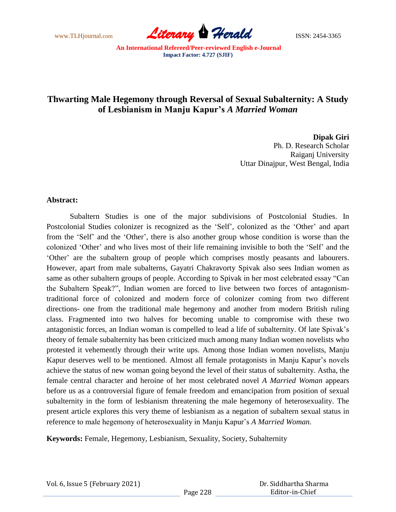www.TLHjournal.com **Literary Herald Herald ISSN: 2454-3365** 

# **Thwarting Male Hegemony through Reversal of Sexual Subalternity: A Study of Lesbianism in Manju Kapur's** *A Married Woman*

**Dipak Giri**

Ph. D. Research Scholar Raiganj University Uttar Dinajpur, West Bengal, India

### **Abstract:**

Subaltern Studies is one of the major subdivisions of Postcolonial Studies. In Postcolonial Studies colonizer is recognized as the 'Self', colonized as the 'Other' and apart from the "Self" and the "Other", there is also another group whose condition is worse than the colonized "Other" and who lives most of their life remaining invisible to both the "Self" and the "Other" are the subaltern group of people which comprises mostly peasants and labourers. However, apart from male subalterns, Gayatri Chakravorty Spivak also sees Indian women as same as other subaltern groups of people. According to Spivak in her most celebrated essay "Can the Subaltern Speak?", Indian women are forced to live between two forces of antagonismtraditional force of colonized and modern force of colonizer coming from two different directions- one from the traditional male hegemony and another from modern British ruling class. Fragmented into two halves for becoming unable to compromise with these two antagonistic forces, an Indian woman is compelled to lead a life of subalternity. Of late Spivak"s theory of female subalternity has been criticized much among many Indian women novelists who protested it vehemently through their write ups. Among those Indian women novelists, Manju Kapur deserves well to be mentioned. Almost all female protagonists in Manju Kapur"s novels achieve the status of new woman going beyond the level of their status of subalternity. Astha, the female central character and heroine of her most celebrated novel *A Married Woman* appears before us as a controversial figure of female freedom and emancipation from position of sexual subalternity in the form of lesbianism threatening the male hegemony of heterosexuality. The present article explores this very theme of lesbianism as a negation of subaltern sexual status in reference to male hegemony of heterosexuality in Manju Kapur"s *A Married Woman.*

**Keywords:** Female, Hegemony, Lesbianism, Sexuality, Society, Subalternity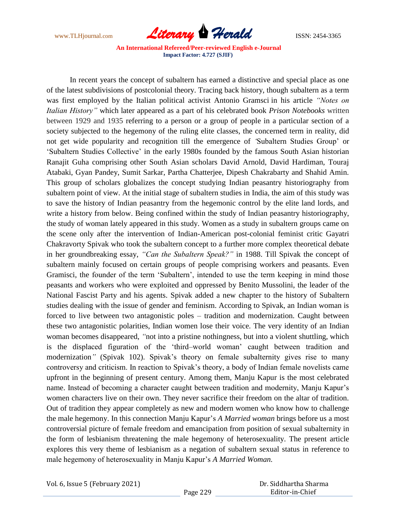

In recent years the concept of subaltern has earned a distinctive and special place as one of the latest subdivisions of postcolonial theory. Tracing back history, though subaltern as a term was first employed by the Italian political activist Antonio Gramsci in his article *"Notes on Italian History"* which later appeared as a part of his celebrated book *Prison Notebooks* written between 1929 and 1935 referring to a person or a group of people in a particular section of a society subjected to the hegemony of the ruling elite classes, the concerned term in reality, did not get wide popularity and recognition till the emergence of *"*Subaltern Studies Group" or 'Subaltern Studies Collective' in the early 1980s founded by the famous South Asian historian Ranajit Guha comprising other South Asian scholars David Arnold, David Hardiman, Touraj Atabaki, Gyan Pandey, Sumit Sarkar, Partha Chatterjee, Dipesh Chakrabarty and Shahid Amin. This group of scholars globalizes the concept studying Indian peasantry historiography from subaltern point of view. At the initial stage of subaltern studies in India, the aim of this study was to save the history of Indian peasantry from the hegemonic control by the elite land lords, and write a history from below. Being confined within the study of Indian peasantry historiography, the study of woman lately appeared in this study. Women as a study in subaltern groups came on the scene only after the intervention of Indian-American post-colonial feminist critic Gayatri Chakravorty Spivak who took the subaltern concept to a further more complex theoretical debate in her groundbreaking essay, *"Can the Subaltern Speak?"* in 1988. Till Spivak the concept of subaltern mainly focused on certain groups of people comprising workers and peasants. Even Gramisci, the founder of the term "Subaltern", intended to use the term keeping in mind those peasants and workers who were exploited and oppressed by Benito Mussolini, the leader of the National Fascist Party and his agents. Spivak added a new chapter to the history of Subaltern studies dealing with the issue of gender and feminism. According to Spivak, an Indian woman is forced to live between two antagonistic poles – tradition and modernization. Caught between these two antagonistic polarities, Indian women lose their voice. The very identity of an Indian woman becomes disappeared, *"*not into a pristine nothingness, but into a violent shuttling, which is the displaced figuration of the "third–world woman" caught between tradition and modernization<sup>"</sup> (Spivak 102). Spivak's theory on female subalternity gives rise to many controversy and criticism. In reaction to Spivak"s theory, a body of Indian female novelists came upfront in the beginning of present century. Among them, Manju Kapur is the most celebrated name. Instead of becoming a character caught between tradition and modernity, Manju Kapur"s women characters live on their own. They never sacrifice their freedom on the altar of tradition. Out of tradition they appear completely as new and modern women who know how to challenge the male hegemony. In this connection Manju Kapur"s *A Married woman* brings before us a most controversial picture of female freedom and emancipation from position of sexual subalternity in the form of lesbianism threatening the male hegemony of heterosexuality. The present article explores this very theme of lesbianism as a negation of subaltern sexual status in reference to male hegemony of heterosexuality in Manju Kapur"s *A Married Woman.*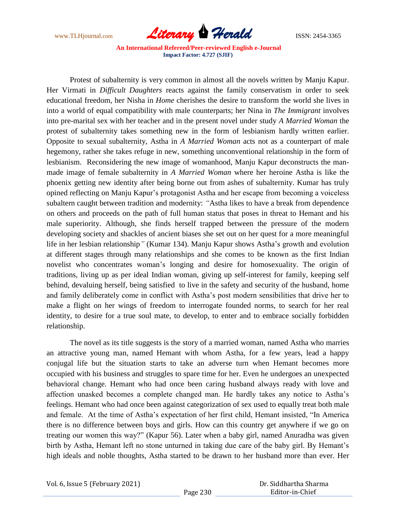

Protest of subalternity is very common in almost all the novels written by Manju Kapur. Her Virmati in *Difficult Daughters* reacts against the family conservatism in order to seek educational freedom, her Nisha in *Home* cherishes the desire to transform the world she lives in into a world of equal compatibility with male counterparts; her Nina in *The Immigrant* involves into pre-marital sex with her teacher and in the present novel under study *A Married Woman* the protest of subalternity takes something new in the form of lesbianism hardly written earlier. Opposite to sexual subalternity, Astha in *A Married Woman* acts not as a counterpart of male hegemony, rather she takes refuge in new, something unconventional relationship in the form of lesbianism. Reconsidering the new image of womanhood, Manju Kapur deconstructs the manmade image of female subalternity in *A Married Woman* where her heroine Astha is like the phoenix getting new identity after being borne out from ashes of subalternity. Kumar has truly opined reflecting on Manju Kapur"s protagonist Astha and her escape from becoming a voiceless subaltern caught between tradition and modernity: *"*Astha likes to have a break from dependence on others and proceeds on the path of full human status that poses in threat to Hemant and his male superiority. Although, she finds herself trapped between the pressure of the modern developing society and shackles of ancient biases she set out on her quest for a more meaningful life in her lesbian relationship" (Kumar 134). Manju Kapur shows Astha's growth and evolution at different stages through many relationships and she comes to be known as the first Indian novelist who concentrates woman"s longing and desire for homosexuality. The origin of traditions, living up as per ideal Indian woman, giving up self-interest for family, keeping self behind, devaluing herself, being satisfied to live in the safety and security of the husband, home and family deliberately come in conflict with Astha"s post modern sensibilities that drive her to make a flight on her wings of freedom to interrogate founded norms, to search for her real identity, to desire for a true soul mate, to develop, to enter and to embrace socially forbidden relationship.

The novel as its title suggests is the story of a married woman, named Astha who marries an attractive young man, named Hemant with whom Astha, for a few years, lead a happy conjugal life but the situation starts to take an adverse turn when Hemant becomes more occupied with his business and struggles to spare time for her. Even he undergoes an unexpected behavioral change. Hemant who had once been caring husband always ready with love and affection unasked becomes a complete changed man. He hardly takes any notice to Astha"s feelings. Hemant who had once been against categorization of sex used to equally treat both male and female. At the time of Astha's expectation of her first child, Hemant insisted, "In America there is no difference between boys and girls. How can this country get anywhere if we go on treating our women this way?" (Kapur 56). Later when a baby girl, named Anuradha was given birth by Astha, Hemant left no stone unturned in taking due care of the baby girl. By Hemant's high ideals and noble thoughts, Astha started to be drawn to her husband more than ever. Her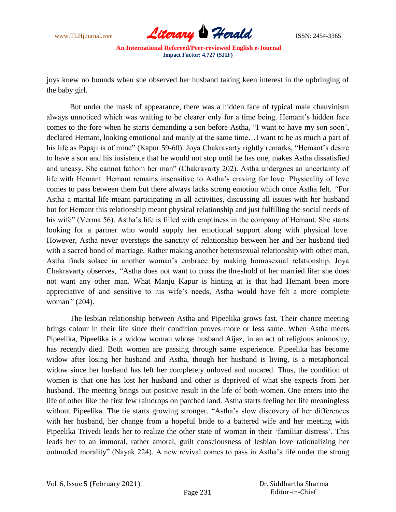

joys knew no bounds when she observed her husband taking keen interest in the upbringing of the baby girl.

But under the mask of appearance, there was a hidden face of typical male chauvinism always unnoticed which was waiting to be clearer only for a time being. Hemant's hidden face comes to the fore when he starts demanding a son before Astha*,* "I want to have my son soon", declared Hemant, looking emotional and manly at the same time…I want to be as much a part of his life as Papaji is of mine" (Kapur 59-60). Joya Chakravarty rightly remarks, "Hemant's desire to have a son and his insistence that he would not stop until he has one, makes Astha dissatisfied and uneasy. She cannot fathom her man" (Chakravarty 202). Astha undergoes an uncertainty of life with Hemant. Hemant remains insensitive to Astha's craving for love. Physicality of love comes to pass between them but there always lacks strong emotion which once Astha felt. *"*For Astha a marital life meant participating in all activities, discussing all issues with her husband but for Hemant this relationship meant physical relationship and just fulfilling the social needs of his wife" (Verma 56). Astha's life is filled with emptiness in the company of Hemant. She starts looking for a partner who would supply her emotional support along with physical love. However, Astha never oversteps the sanctity of relationship between her and her husband tied with a sacred bond of marriage. Rather making another heterosexual relationship with other man, Astha finds solace in another woman"s embrace by making homosexual relationship. Joya Chakravarty observes, *"*Astha does not want to cross the threshold of her married life: she does not want any other man. What Manju Kapur is hinting at is that had Hemant been more appreciative of and sensitive to his wife"s needs, Astha would have felt a more complete woman*"* (204).

The lesbian relationship between Astha and Pipeelika grows fast. Their chance meeting brings colour in their life since their condition proves more or less same. When Astha meets Pipeelika, Pipeelika is a widow woman whose husband Aijaz, in an act of religious animosity, has recently died. Both women are passing through same experience. Pipeelika has become widow after losing her husband and Astha, though her husband is living, is a metaphorical widow since her husband has left her completely unloved and uncared. Thus, the condition of women is that one has lost her husband and other is deprived of what she expects from her husband. The meeting brings out positive result in the life of both women. One enters into the life of other like the first few raindrops on parched land. Astha starts feeling her life meaningless without Pipeelika. The tie starts growing stronger. "Astha's slow discovery of her differences with her husband, her change from a hopeful bride to a battered wife and her meeting with Pipeelika Trivedi leads her to realize the other state of woman in their "familiar distress". This leads her to an immoral, rather amoral, guilt consciousness of lesbian love rationalizing her outmoded morality" (Nayak 224). A new revival comes to pass in Astha"s life under the strong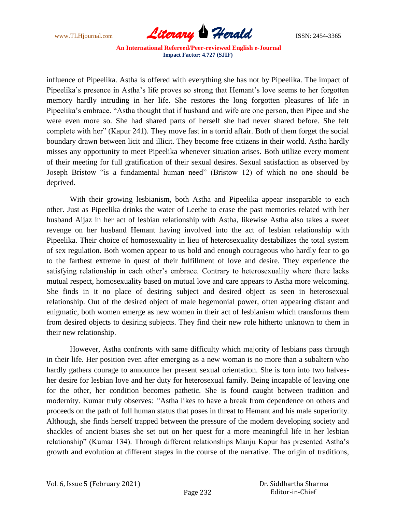

influence of Pipeelika. Astha is offered with everything she has not by Pipeelika. The impact of Pipeelika"s presence in Astha"s life proves so strong that Hemant"s love seems to her forgotten memory hardly intruding in her life. She restores the long forgotten pleasures of life in Pipeelika's embrace. "Astha thought that if husband and wife are one person, then Pipee and she were even more so. She had shared parts of herself she had never shared before. She felt complete with her" (Kapur 241). They move fast in a torrid affair. Both of them forget the social boundary drawn between licit and illicit. They become free citizens in their world. Astha hardly misses any opportunity to meet Pipeelika whenever situation arises. Both utilize every moment of their meeting for full gratification of their sexual desires. Sexual satisfaction as observed by Joseph Bristow "is a fundamental human need" (Bristow 12) of which no one should be deprived.

With their growing lesbianism, both Astha and Pipeelika appear inseparable to each other. Just as Pipeelika drinks the water of Leethe to erase the past memories related with her husband Aijaz in her act of lesbian relationship with Astha, likewise Astha also takes a sweet revenge on her husband Hemant having involved into the act of lesbian relationship with Pipeelika. Their choice of homosexuality in lieu of heterosexuality destabilizes the total system of sex regulation. Both women appear to us bold and enough courageous who hardly fear to go to the farthest extreme in quest of their fulfillment of love and desire. They experience the satisfying relationship in each other's embrace. Contrary to heterosexuality where there lacks mutual respect, homosexuality based on mutual love and care appears to Astha more welcoming. She finds in it no place of desiring subject and desired object as seen in heterosexual relationship. Out of the desired object of male hegemonial power, often appearing distant and enigmatic, both women emerge as new women in their act of lesbianism which transforms them from desired objects to desiring subjects. They find their new role hitherto unknown to them in their new relationship.

However, Astha confronts with same difficulty which majority of lesbians pass through in their life. Her position even after emerging as a new woman is no more than a subaltern who hardly gathers courage to announce her present sexual orientation. She is torn into two halvesher desire for lesbian love and her duty for heterosexual family. Being incapable of leaving one for the other, her condition becomes pathetic. She is found caught between tradition and modernity. Kumar truly observes: *"*Astha likes to have a break from dependence on others and proceeds on the path of full human status that poses in threat to Hemant and his male superiority. Although, she finds herself trapped between the pressure of the modern developing society and shackles of ancient biases she set out on her quest for a more meaningful life in her lesbian relationship" (Kumar 134). Through different relationships Manju Kapur has presented Astha"s growth and evolution at different stages in the course of the narrative. The origin of traditions,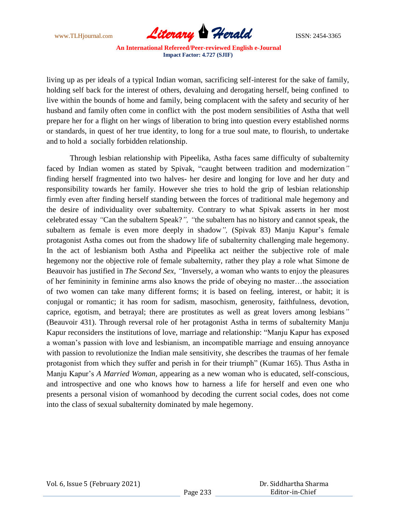

living up as per ideals of a typical Indian woman, sacrificing self-interest for the sake of family, holding self back for the interest of others, devaluing and derogating herself, being confined to live within the bounds of home and family, being complacent with the safety and security of her husband and family often come in conflict with the post modern sensibilities of Astha that well prepare her for a flight on her wings of liberation to bring into question every established norms or standards, in quest of her true identity, to long for a true soul mate, to flourish, to undertake and to hold a socially forbidden relationship.

Through lesbian relationship with Pipeelika, Astha faces same difficulty of subalternity faced by Indian women as stated by Spivak, "caught between tradition and modernization*"*  finding herself fragmented into two halves- her desire and longing for love and her duty and responsibility towards her family. However she tries to hold the grip of lesbian relationship firmly even after finding herself standing between the forces of traditional male hegemony and the desire of individuality over subalternity. Contrary to what Spivak asserts in her most celebrated essay *"*Can the subaltern Speak?*", "*the subaltern has no history and cannot speak, the subaltern as female is even more deeply in shadow", (Spivak 83) Manju Kapur's female protagonist Astha comes out from the shadowy life of subalternity challenging male hegemony. In the act of lesbianism both Astha and Pipeelika act neither the subjective role of male hegemony nor the objective role of female subalternity, rather they play a role what Simone de Beauvoir has justified in *The Second Sex*, *"*Inversely, a woman who wants to enjoy the pleasures of her femininity in feminine arms also knows the pride of obeying no master…the association of two women can take many different forms; it is based on feeling, interest, or habit; it is conjugal or romantic; it has room for sadism, masochism, generosity, faithfulness, devotion, caprice, egotism, and betrayal; there are prostitutes as well as great lovers among lesbians*"* (Beauvoir 431). Through reversal role of her protagonist Astha in terms of subalternity Manju Kapur reconsiders the institutions of love, marriage and relationship: "Manju Kapur has exposed a woman"s passion with love and lesbianism, an incompatible marriage and ensuing annoyance with passion to revolutionize the Indian male sensitivity, she describes the traumas of her female protagonist from which they suffer and perish in for their triumph" (Kumar 165). Thus Astha in Manju Kapur"s *A Married Woman,* appearing as a new woman who is educated, self-conscious, and introspective and one who knows how to harness a life for herself and even one who presents a personal vision of womanhood by decoding the current social codes, does not come into the class of sexual subalternity dominated by male hegemony.